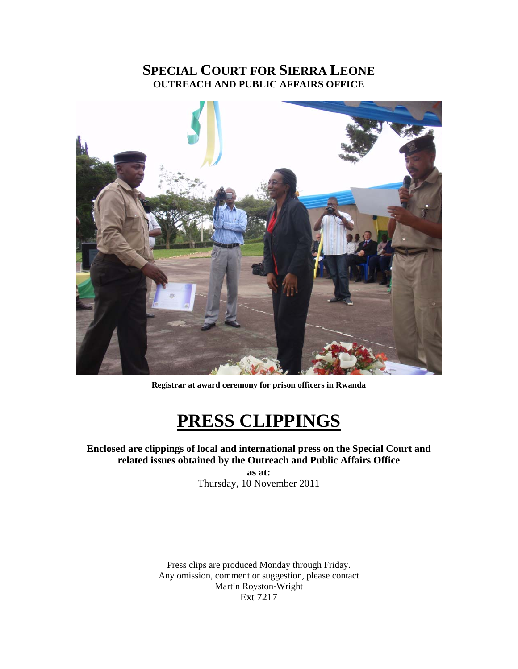# **SPECIAL COURT FOR SIERRA LEONE OUTREACH AND PUBLIC AFFAIRS OFFICE**



**Registrar at award ceremony for prison officers in Rwanda** 

# **PRESS CLIPPINGS**

# **Enclosed are clippings of local and international press on the Special Court and related issues obtained by the Outreach and Public Affairs Office**

**as at:**  Thursday, 10 November 2011

Press clips are produced Monday through Friday. Any omission, comment or suggestion, please contact Martin Royston-Wright Ext 7217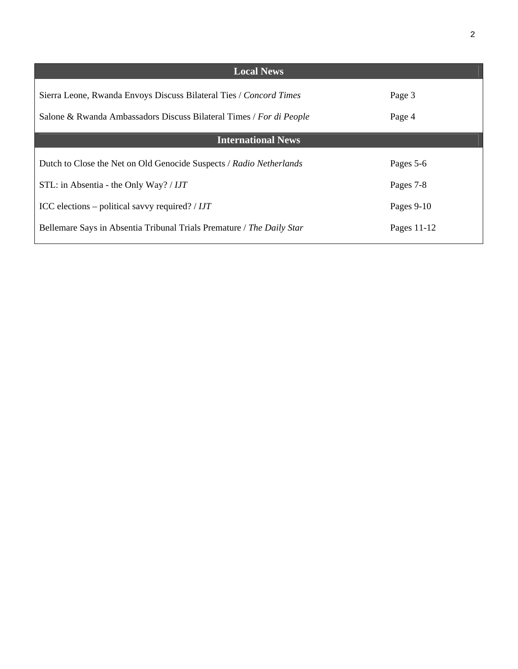| <b>Local News</b>                                                     |              |
|-----------------------------------------------------------------------|--------------|
| Sierra Leone, Rwanda Envoys Discuss Bilateral Ties / Concord Times    | Page 3       |
| Salone & Rwanda Ambassadors Discuss Bilateral Times / For di People   | Page 4       |
| <b>International News</b>                                             |              |
| Dutch to Close the Net on Old Genocide Suspects / Radio Netherlands   | Pages 5-6    |
| STL: in Absentia - the Only Way? / IJT                                | Pages 7-8    |
| ICC elections – political savvy required? / $IJT$                     | Pages $9-10$ |
| Bellemare Says in Absentia Tribunal Trials Premature / The Daily Star | Pages 11-12  |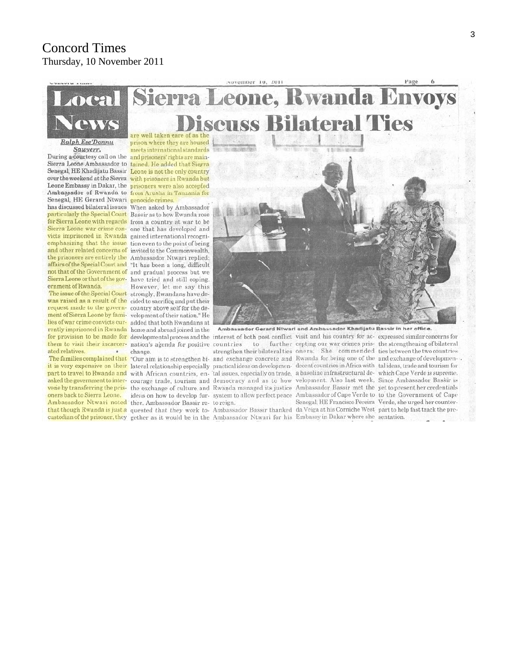# **Concord Times** Thursday, 10 November 2011



to

Sawyerr,

Sierra Leone Ambassador to tained. He added that Sierra Senegal, HE Khadijatu Bassir Leone is not the only country over the weekend at the Sierra with prisoners in Rwanda but Leone Embassy in Dakar, the prisoners were also accepted Ambassador of Rwanda to from Arusha in Tanzania for Senegal, HE Gerard Ntwari genocide crimes has discussed bilateral issues When asked by Ambassador particularly the Special Court Bassir as to how Rwanda rose for Sierra Leone with regards from a country at war to be Sierra Leone war crime con- one that has developed and victs imprisoned in Rwanda gained international recogniemphasizing that the issue tion even to the point of being and other related concerns of invited to the Commonwealth, the prisoners are entirely the Ambassador Ntwari replied: affairs of the Special Court and "It has been a long, difficult not that of the Government of and gradual process but we Sierra Leone or that of the gov-have tried and still coping. ernment of Rwanda.

was raised as a result of the cided to sacrifice and put their request made to the govern- country above self for the dement of Sierra Leone by fami-velopment of their nation." He lies of war crime convicts cur- added that both Rwandans at rently imprisoned in Rwanda home and abroad joined in the them to visit their incarcer- nation's agenda for positive countries ated relatives.

oners back to Sierra Leone.

custodian of the prisoner, they gether as it would be in the Ambassador Ntwari for his Embassy in Dakar where she sentation.

meets international standards During a courtesy call on the and prisoners' rights are main-

However, let me say this The issue of the Special Court strongly, Rwandans have de-

change. Ambassador Ntwari noted ther. Ambassador Bassir re- to reign.



Ambassador Gerard Ntwari and Ambassador Khadijatu Bassir in her office.

for provision to be made for developmental process and the interest of both post conflict visit and his country for ac- expressed similar concerns for further cepting our war crimes pris- the strengthening of bilateral strengthen their bilateral ties oners. She commended ties between the two countries The families complained that "Our aim is to strengthen bi- and exchange concrete and Rwanda for being one of the and exchange of developmen-. it is very expensive on their lateral relationship especially practical ideas on developmen- decent countries in Africa with tal ideas, trade and tourism for part to travel to Rwanda and with African countries, en- tal issues, especially on trade, a baseline infrastructural de- which Cape Verde is supreme. asked the government to inter- courage trade, tourism and democracy and as to how velopment. Also last week, Since Ambassador Bassir is vene by transferring the pris- the exchange of culture and Rwanda managed its justice Ambassador Bassir met the yet to present her credentials ideas on how to develop fur-system to allow perfect peace Ambassador of Cape Verde to to the Government of Cape Senegal, HE Francisco Pereira Verde, she urged her counterthat though Rwanda is just a quested that they work to- Ambassador Bassir thanked da Veiga at his Corniche West part to help fast track the pre-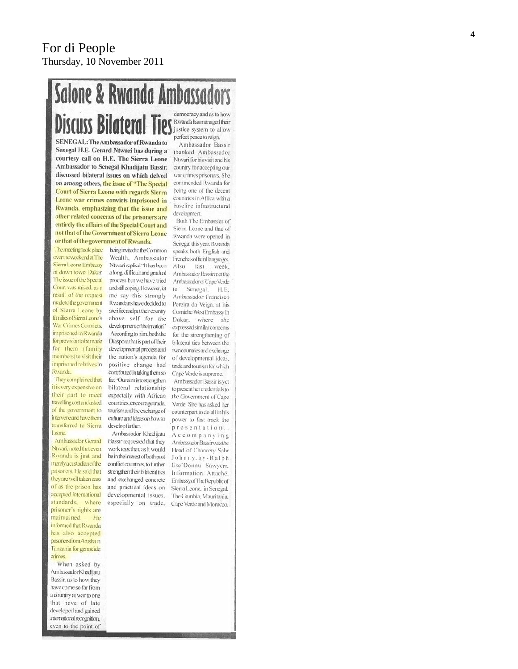# **Salone & Rwanda Ambassadors** democracy and as to how **Discuss Bilateral Ties** Rivanda has maraged their perfect peace to reign. SENEGAL: The Ambassador of Rwanda to

being invited to the Common

Wealth, Ambassador

Ntwari replied "It has been

a long, difficult and gradual

process but we have tried

and still coping. However, let

me say this strongly

Rwandans have decided to

sacrifice and put their country

above self for the

development of their nation"

According to him, both the

Diaspora that is part of their

developmental process and

the nation's agenda for

positive change had

contributed in taking them so

far. "Our aim is to strengthen

bilateral relationship

especially with African

countries, encourage trade,

tourism and the exchange of

culture and ideas on how to

Ambassador Khadijatu

Bassir requested that they

work together, as it would

be in the interest of both post

conflict countries, to further

strengthen their bilateral ties

and exchanged concrete

and practical ideas on

developmental issues.

especially on trade,

develop further.

Senegal H.E. Gerard Ntwari has during a courtesy call on H.E. The Sierra Leone Ambassador to Senegal Khadijatu Bassir. discussed bilateral issues on which delved on among others, the issue of "The Special **Court of Sierra Leone with regards Sierra** Leone war crimes convicts imprisoned in Rwanda, emphasizing that the issue and other related concerns of the prisoners are entirely the affairs of the Special Court and not that of the Government of Sierra Leone or that of the government of Rwanda.

The meeting took place overthe weekendat The Sierra Leone Embassy in down town Dakar. The issue of the Special Court was raised, as a result of the request made to the government of Sierra Leone by families of Siema Leone's War Crimes Convicts. imprisoned in Rwanda for provision to be made for them (family members) to visit their imprisoned relatives in Rwanda.

They complained that it is very expensive on their part to meet travelling cost and asked of the government to interveneard/have/hemtransferred to Sierra Leone.

Ambassador Gerard Ntwari, noted that even Rwanda is just and merely acustodian of the prisoners. He said that they are well taken care of as the prison has accepted international standards, where prisoner's rights are maintained. He informed that Rwanda has also accepted prisoners from Arusha in Tanzania for genocide crimes

When asked by Ambassador Khadijatu Bassir, as to how they have come so far from a country at war to one that have of late developed and gained international recognition, even to the point of

Ambassador Bassir thanked Ambassador Ntwari for his visit and his country for accepting our war crimes prisoners. She commended Rwanda for being one of the decent countries in Africa with a baseline infrastructural development.

Both The Embassies of Sierra Leone and that of Rwanda were opened in Senegal this year. Rwanda speaks both English and Frenchas official languages, Also last week Ambassador Bassirmet the Ambassador of Cape Verde to Senegal, H.E. Ambassador Francisco Pereira da Veiga, at his Comiche West Embassy in Dakar, where she expressed similar concerns for the strengthening of bilateral ties between the two countries and exchange of developmental ideas, trade and tourism for which Cape Verde is supreme. Ambassador Bassir is yet to present her credentials to the Government of Cape Verde. She has asked her counterpart to do all in his power to fast track the presentation.. Accompanying Ambassador Bassir was the Head of Chancery Sahr Johnny.by-Ralph Ese'Donnu Sawyerr, Information Attaché, Embassy of The Republic of Sierra Leone, in Senegal, The Gambia, Mauritania. Cape Verde and Morocco.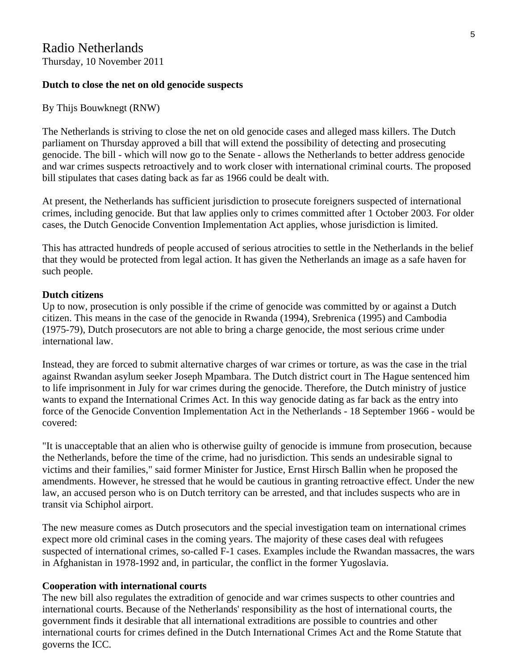# **Dutch to close the net on old genocide suspects**

By Thijs Bouwknegt (RNW)

The Netherlands is striving to close the net on old genocide cases and alleged mass killers. The Dutch parliament on Thursday approved a bill that will extend the possibility of detecting and prosecuting genocide. The bill - which will now go to the Senate - allows the Netherlands to better address genocide and war crimes suspects retroactively and to work closer with international criminal courts. The proposed bill stipulates that cases dating back as far as 1966 could be dealt with.

At present, the Netherlands has sufficient jurisdiction to prosecute foreigners suspected of international crimes, including genocide. But that law applies only to crimes committed after 1 October 2003. For older cases, the Dutch Genocide Convention Implementation Act applies, whose jurisdiction is limited.

This has attracted hundreds of people accused of serious atrocities to settle in the Netherlands in the belief that they would be protected from legal action. It has given the Netherlands an image as a safe haven for such people.

# **Dutch citizens**

Up to now, prosecution is only possible if the crime of genocide was committed by or against a Dutch citizen. This means in the case of the genocide in Rwanda (1994), Srebrenica (1995) and Cambodia (1975-79), Dutch prosecutors are not able to bring a charge genocide, the most serious crime under international law.

Instead, they are forced to submit alternative charges of war crimes or torture, as was the case in the trial against Rwandan asylum seeker Joseph Mpambara. The Dutch district court in The Hague sentenced him to life imprisonment in July for war crimes during the genocide. Therefore, the Dutch ministry of justice wants to expand the International Crimes Act. In this way genocide dating as far back as the entry into force of the Genocide Convention Implementation Act in the Netherlands - 18 September 1966 - would be covered:

"It is unacceptable that an alien who is otherwise guilty of genocide is immune from prosecution, because the Netherlands, before the time of the crime, had no jurisdiction. This sends an undesirable signal to victims and their families," said former Minister for Justice, Ernst Hirsch Ballin when he proposed the amendments. However, he stressed that he would be cautious in granting retroactive effect. Under the new law, an accused person who is on Dutch territory can be arrested, and that includes suspects who are in transit via Schiphol airport.

The new measure comes as Dutch prosecutors and the special investigation team on international crimes expect more old criminal cases in the coming years. The majority of these cases deal with refugees suspected of international crimes, so-called F-1 cases. Examples include the Rwandan massacres, the wars in Afghanistan in 1978-1992 and, in particular, the conflict in the former Yugoslavia.

# **Cooperation with international courts**

The new bill also regulates the extradition of genocide and war crimes suspects to other countries and international courts. Because of the Netherlands' responsibility as the host of international courts, the government finds it desirable that all international extraditions are possible to countries and other international courts for crimes defined in the Dutch International Crimes Act and the Rome Statute that governs the ICC.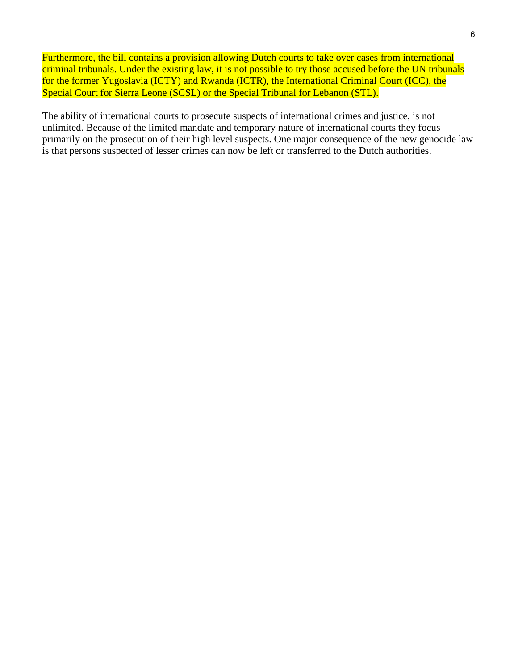Furthermore, the bill contains a provision allowing Dutch courts to take over cases from international criminal tribunals. Under the existing law, it is not possible to try those accused before the UN tribunals for the former Yugoslavia (ICTY) and Rwanda (ICTR), the International Criminal Court (ICC), the Special Court for Sierra Leone (SCSL) or the Special Tribunal for Lebanon (STL).

The ability of international courts to prosecute suspects of international crimes and justice, is not unlimited. Because of the limited mandate and temporary nature of international courts they focus primarily on the prosecution of their high level suspects. One major consequence of the new genocide law is that persons suspected of lesser crimes can now be left or transferred to the Dutch authorities.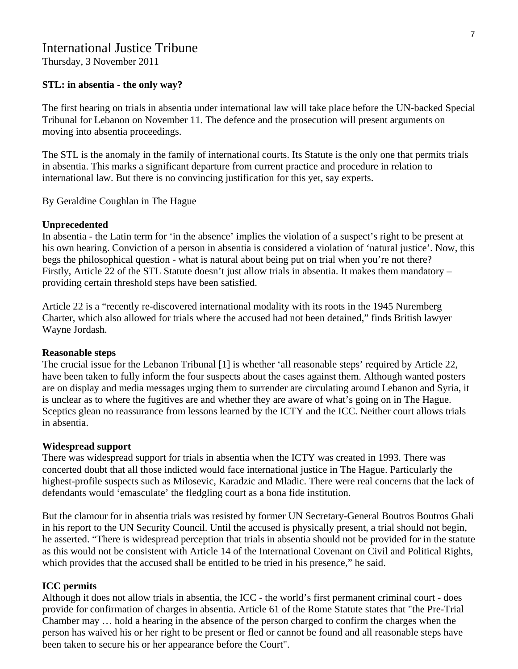# International Justice Tribune

Thursday, 3 November 2011

#### **STL: in absentia - the only way?**

The first hearing on trials in absentia under international law will take place before the UN-backed Special Tribunal for Lebanon on November 11. The defence and the prosecution will present arguments on moving into absentia proceedings.

The STL is the anomaly in the family of international courts. Its Statute is the only one that permits trials in absentia. This marks a significant departure from current practice and procedure in relation to international law. But there is no convincing justification for this yet, say experts.

By Geraldine Coughlan in The Hague

#### **Unprecedented**

In absentia - the Latin term for 'in the absence' implies the violation of a suspect's right to be present at his own hearing. Conviction of a person in absentia is considered a violation of 'natural justice'. Now, this begs the philosophical question - what is natural about being put on trial when you're not there? Firstly, Article 22 of the STL Statute doesn't just allow trials in absentia. It makes them mandatory – providing certain threshold steps have been satisfied.

Article 22 is a "recently re-discovered international modality with its roots in the 1945 Nuremberg Charter, which also allowed for trials where the accused had not been detained," finds British lawyer Wayne Jordash.

#### **Reasonable steps**

The crucial issue for the Lebanon Tribunal [1] is whether 'all reasonable steps' required by Article 22, have been taken to fully inform the four suspects about the cases against them. Although wanted posters are on display and media messages urging them to surrender are circulating around Lebanon and Syria, it is unclear as to where the fugitives are and whether they are aware of what's going on in The Hague. Sceptics glean no reassurance from lessons learned by the ICTY and the ICC. Neither court allows trials in absentia.

#### **Widespread support**

There was widespread support for trials in absentia when the ICTY was created in 1993. There was concerted doubt that all those indicted would face international justice in The Hague. Particularly the highest-profile suspects such as Milosevic, Karadzic and Mladic. There were real concerns that the lack of defendants would 'emasculate' the fledgling court as a bona fide institution.

But the clamour for in absentia trials was resisted by former UN Secretary-General Boutros Boutros Ghali in his report to the UN Security Council. Until the accused is physically present, a trial should not begin, he asserted. "There is widespread perception that trials in absentia should not be provided for in the statute as this would not be consistent with Article 14 of the International Covenant on Civil and Political Rights, which provides that the accused shall be entitled to be tried in his presence," he said.

#### **ICC permits**

Although it does not allow trials in absentia, the ICC - the world's first permanent criminal court - does provide for confirmation of charges in absentia. Article 61 of the Rome Statute states that "the Pre-Trial Chamber may … hold a hearing in the absence of the person charged to confirm the charges when the person has waived his or her right to be present or fled or cannot be found and all reasonable steps have been taken to secure his or her appearance before the Court".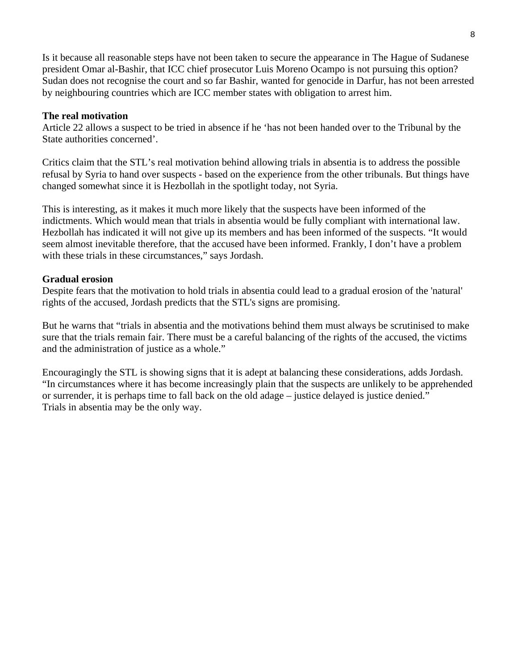Is it because all reasonable steps have not been taken to secure the appearance in The Hague of Sudanese president Omar al-Bashir, that ICC chief prosecutor Luis Moreno Ocampo is not pursuing this option? Sudan does not recognise the court and so far Bashir, wanted for genocide in Darfur, has not been arrested by neighbouring countries which are ICC member states with obligation to arrest him.

# **The real motivation**

Article 22 allows a suspect to be tried in absence if he 'has not been handed over to the Tribunal by the State authorities concerned'.

Critics claim that the STL's real motivation behind allowing trials in absentia is to address the possible refusal by Syria to hand over suspects - based on the experience from the other tribunals. But things have changed somewhat since it is Hezbollah in the spotlight today, not Syria.

This is interesting, as it makes it much more likely that the suspects have been informed of the indictments. Which would mean that trials in absentia would be fully compliant with international law. Hezbollah has indicated it will not give up its members and has been informed of the suspects. "It would seem almost inevitable therefore, that the accused have been informed. Frankly, I don't have a problem with these trials in these circumstances," says Jordash.

# **Gradual erosion**

Despite fears that the motivation to hold trials in absentia could lead to a gradual erosion of the 'natural' rights of the accused, Jordash predicts that the STL's signs are promising.

But he warns that "trials in absentia and the motivations behind them must always be scrutinised to make sure that the trials remain fair. There must be a careful balancing of the rights of the accused, the victims and the administration of justice as a whole."

Encouragingly the STL is showing signs that it is adept at balancing these considerations, adds Jordash. "In circumstances where it has become increasingly plain that the suspects are unlikely to be apprehended or surrender, it is perhaps time to fall back on the old adage – justice delayed is justice denied." Trials in absentia may be the only way.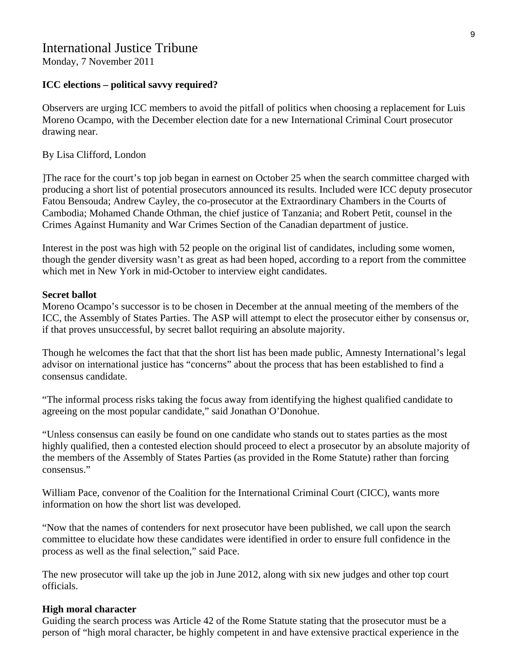# International Justice Tribune

Monday, 7 November 2011

# **ICC elections – political savvy required?**

Observers are urging ICC members to avoid the pitfall of politics when choosing a replacement for Luis Moreno Ocampo, with the December election date for a new International Criminal Court prosecutor drawing near.

#### By Lisa Clifford, London

]The race for the court's top job began in earnest on October 25 when the search committee charged with producing a short list of potential prosecutors announced its results. Included were ICC deputy prosecutor Fatou Bensouda; Andrew Cayley, the co-prosecutor at the Extraordinary Chambers in the Courts of Cambodia; Mohamed Chande Othman, the chief justice of Tanzania; and Robert Petit, counsel in the Crimes Against Humanity and War Crimes Section of the Canadian department of justice.

Interest in the post was high with 52 people on the original list of candidates, including some women, though the gender diversity wasn't as great as had been hoped, according to a report from the committee which met in New York in mid-October to interview eight candidates.

#### **Secret ballot**

Moreno Ocampo's successor is to be chosen in December at the annual meeting of the members of the ICC, the Assembly of States Parties. The ASP will attempt to elect the prosecutor either by consensus or, if that proves unsuccessful, by secret ballot requiring an absolute majority.

Though he welcomes the fact that that the short list has been made public, Amnesty International's legal advisor on international justice has "concerns" about the process that has been established to find a consensus candidate.

"The informal process risks taking the focus away from identifying the highest qualified candidate to agreeing on the most popular candidate," said Jonathan O'Donohue.

"Unless consensus can easily be found on one candidate who stands out to states parties as the most highly qualified, then a contested election should proceed to elect a prosecutor by an absolute majority of the members of the Assembly of States Parties (as provided in the Rome Statute) rather than forcing consensus."

William Pace, convenor of the Coalition for the International Criminal Court (CICC), wants more information on how the short list was developed.

"Now that the names of contenders for next prosecutor have been published, we call upon the search committee to elucidate how these candidates were identified in order to ensure full confidence in the process as well as the final selection," said Pace.

The new prosecutor will take up the job in June 2012, along with six new judges and other top court officials.

# **High moral character**

Guiding the search process was Article 42 of the Rome Statute stating that the prosecutor must be a person of "high moral character, be highly competent in and have extensive practical experience in the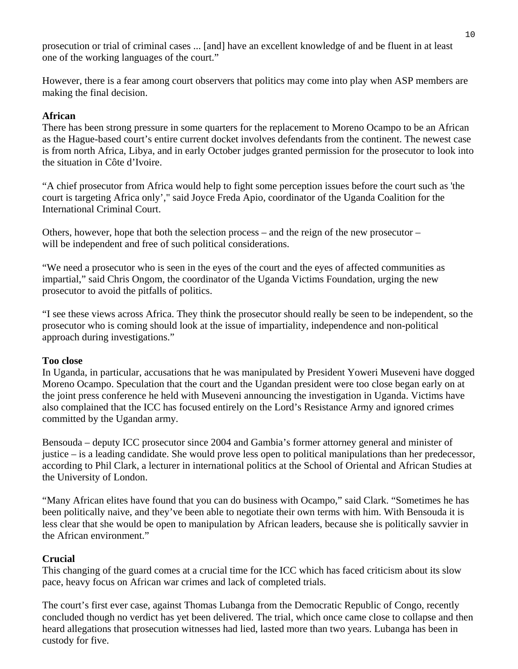prosecution or trial of criminal cases ... [and] have an excellent knowledge of and be fluent in at least one of the working languages of the court."

However, there is a fear among court observers that politics may come into play when ASP members are making the final decision.

# **African**

There has been strong pressure in some quarters for the replacement to Moreno Ocampo to be an African as the Hague-based court's entire current docket involves defendants from the continent. The newest case is from north Africa, Libya, and in early October judges granted permission for the prosecutor to look into the situation in Côte d'Ivoire.

"A chief prosecutor from Africa would help to fight some perception issues before the court such as 'the court is targeting Africa only'," said Joyce Freda Apio, coordinator of the Uganda Coalition for the International Criminal Court.

Others, however, hope that both the selection process – and the reign of the new prosecutor – will be independent and free of such political considerations.

"We need a prosecutor who is seen in the eyes of the court and the eyes of affected communities as impartial," said Chris Ongom, the coordinator of the Uganda Victims Foundation, urging the new prosecutor to avoid the pitfalls of politics.

"I see these views across Africa. They think the prosecutor should really be seen to be independent, so the prosecutor who is coming should look at the issue of impartiality, independence and non-political approach during investigations."

# **Too close**

In Uganda, in particular, accusations that he was manipulated by President Yoweri Museveni have dogged Moreno Ocampo. Speculation that the court and the Ugandan president were too close began early on at the joint press conference he held with Museveni announcing the investigation in Uganda. Victims have also complained that the ICC has focused entirely on the Lord's Resistance Army and ignored crimes committed by the Ugandan army.

Bensouda – deputy ICC prosecutor since 2004 and Gambia's former attorney general and minister of justice – is a leading candidate. She would prove less open to political manipulations than her predecessor, according to Phil Clark, a lecturer in international politics at the School of Oriental and African Studies at the University of London.

"Many African elites have found that you can do business with Ocampo," said Clark. "Sometimes he has been politically naive, and they've been able to negotiate their own terms with him. With Bensouda it is less clear that she would be open to manipulation by African leaders, because she is politically savvier in the African environment."

# **Crucial**

This changing of the guard comes at a crucial time for the ICC which has faced criticism about its slow pace, heavy focus on African war crimes and lack of completed trials.

The court's first ever case, against Thomas Lubanga from the Democratic Republic of Congo, recently concluded though no verdict has yet been delivered. The trial, which once came close to collapse and then heard allegations that prosecution witnesses had lied, lasted more than two years. Lubanga has been in custody for five.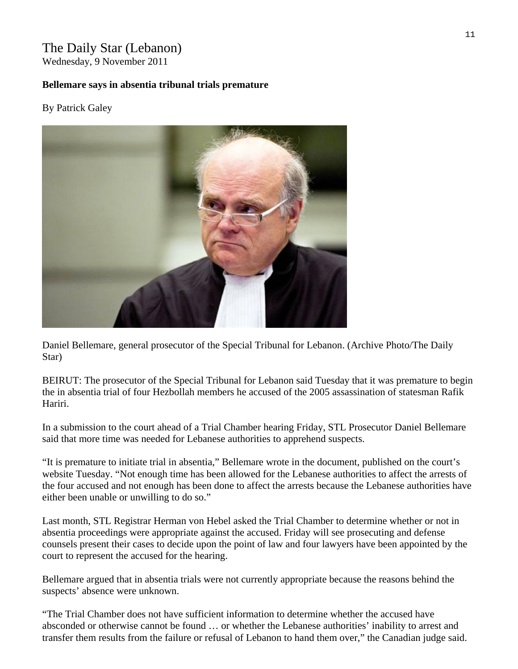# The Daily Star (Lebanon) Wednesday, 9 November 2011

**Bellemare says in absentia tribunal trials premature** 

# By [Patrick Galey](http://www.dailystar.com.lb/Patrick-Galey.ashx)



Daniel Bellemare, general prosecutor of the Special Tribunal for Lebanon. (Archive Photo/The Daily Star)

BEIRUT: The prosecutor of the Special Tribunal for Lebanon said Tuesday that it was premature to begin the in absentia trial of four Hezbollah members he accused of the 2005 assassination of statesman Rafik Hariri.

In a submission to the court ahead of a Trial Chamber hearing Friday, STL Prosecutor Daniel Bellemare said that more time was needed for Lebanese authorities to apprehend suspects.

"It is premature to initiate trial in absentia," Bellemare wrote in the document, published on the court's website Tuesday. "Not enough time has been allowed for the Lebanese authorities to affect the arrests of the four accused and not enough has been done to affect the arrests because the Lebanese authorities have either been unable or unwilling to do so."

Last month, STL Registrar Herman von Hebel asked the Trial Chamber to determine whether or not in absentia proceedings were appropriate against the accused. Friday will see prosecuting and defense counsels present their cases to decide upon the point of law and four lawyers have been appointed by the court to represent the accused for the hearing.

Bellemare argued that in absentia trials were not currently appropriate because the reasons behind the suspects' absence were unknown.

"The Trial Chamber does not have sufficient information to determine whether the accused have absconded or otherwise cannot be found … or whether the Lebanese authorities' inability to arrest and transfer them results from the failure or refusal of Lebanon to hand them over," the Canadian judge said.